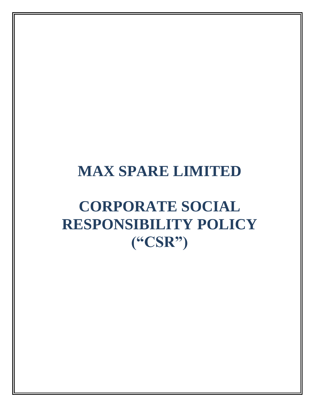# **CORPORATE SOCIAL RESPONSIBILITY POLICY ("CSR")**

# **MAX SPARE LIMITED**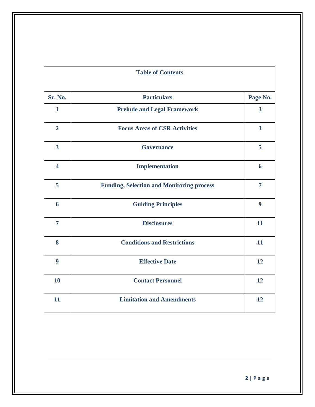| <b>Table of Contents</b> |                                                  |                         |
|--------------------------|--------------------------------------------------|-------------------------|
| Sr. No.                  | <b>Particulars</b>                               | Page No.                |
| $\mathbf{1}$             | <b>Prelude and Legal Framework</b>               | $\overline{\mathbf{3}}$ |
| $\overline{2}$           | <b>Focus Areas of CSR Activities</b>             | $\overline{\mathbf{3}}$ |
| $\overline{\mathbf{3}}$  | <b>Governance</b>                                | 5                       |
| $\overline{\mathbf{4}}$  | <b>Implementation</b>                            | 6                       |
| 5                        | <b>Funding, Selection and Monitoring process</b> | $\overline{7}$          |
| 6                        | <b>Guiding Principles</b>                        | 9                       |
| $\overline{7}$           | <b>Disclosures</b>                               | 11                      |
| 8                        | <b>Conditions and Restrictions</b>               | 11                      |
| $\boldsymbol{9}$         | <b>Effective Date</b>                            | 12                      |
| 10                       | <b>Contact Personnel</b>                         | 12                      |
| 11                       | <b>Limitation and Amendments</b>                 | 12                      |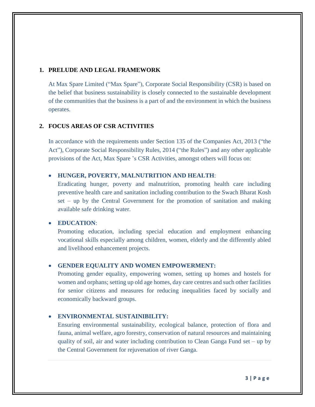# **1. PRELUDE AND LEGAL FRAMEWORK**

At Max Spare Limited ("Max Spare"), Corporate Social Responsibility (CSR) is based on the belief that business sustainability is closely connected to the sustainable development of the communities that the business is a part of and the environment in which the business operates.

# **2. FOCUS AREAS OF CSR ACTIVITIES**

In accordance with the requirements under Section 135 of the Companies Act, 2013 ("the Act"), Corporate Social Responsibility Rules, 2014 ("the Rules") and any other applicable provisions of the Act, Max Spare 's CSR Activities, amongst others will focus on:

# **HUNGER, POVERTY, MALNUTRITION AND HEALTH**:

Eradicating hunger, poverty and malnutrition, promoting health care including preventive health care and sanitation including contribution to the Swach Bharat Kosh set – up by the Central Government for the promotion of sanitation and making available safe drinking water.

# **EDUCATION**:

Promoting education, including special education and employment enhancing vocational skills especially among children, women, elderly and the differently abled and livelihood enhancement projects.

# **GENDER EQUALITY AND WOMEN EMPOWERMENT:**

Promoting gender equality, empowering women, setting up homes and hostels for women and orphans; setting up old age homes, day care centres and such other facilities for senior citizens and measures for reducing inequalities faced by socially and economically backward groups.

# **ENVIRONMENTAL SUSTAINIBILITY:**

Ensuring environmental sustainability, ecological balance, protection of flora and fauna, animal welfare, agro forestry, conservation of natural resources and maintaining quality of soil, air and water including contribution to Clean Ganga Fund set – up by the Central Government for rejuvenation of river Ganga.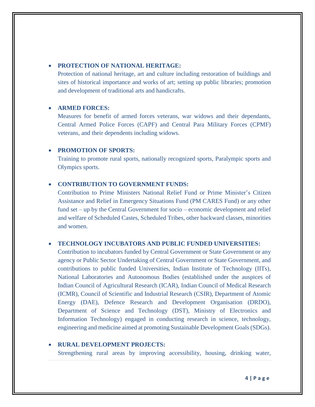# **PROTECTION OF NATIONAL HERITAGE:**

Protection of national heritage, art and culture including restoration of buildings and sites of historical importance and works of art; setting up public libraries; promotion and development of traditional arts and handicrafts.

#### **ARMED FORCES:**

Measures for benefit of armed forces veterans, war widows and their dependants, Central Armed Police Forces (CAPF) and Central Para Military Forces (CPMF) veterans, and their dependents including widows.

### **PROMOTION OF SPORTS:**

Training to promote rural sports, nationally recognized sports, Paralympic sports and Olympics sports.

### **CONTRIBUTION TO GOVERNMENT FUNDS:**

Contribution to Prime Ministers National Relief Fund or Prime Minister's Citizen Assistance and Relief in Emergency Situations Fund (PM CARES Fund) or any other fund set – up by the Central Government for socio – economic development and relief and welfare of Scheduled Castes, Scheduled Tribes, other backward classes, minorities and women.

# **TECHNOLOGY INCUBATORS AND PUBLIC FUNDED UNIVERSITIES:**

Contribution to incubators funded by Central Government or State Government or any agency or Public Sector Undertaking of Central Government or State Government, and contributions to public funded Universities, Indian Institute of Technology (IITs), National Laboratories and Autonomous Bodies (established under the auspices of Indian Council of Agricultural Research (ICAR), Indian Council of Medical Research (ICMR), Council of Scientific and Industrial Research (CSIR), Department of Atomic Energy (DAE), Defence Research and Development Organisation (DRDO), Department of Science and Technology (DST), Ministry of Electronics and Information Technology) engaged in conducting research in science, technology, engineering and medicine aimed at promoting Sustainable Development Goals(SDGs).

# **RURAL DEVELOPMENT PROJECTS:**

Strengthening rural areas by improving accessibility, housing, drinking water,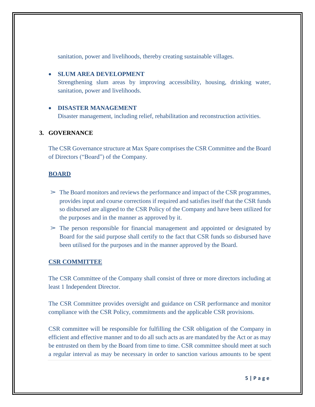sanitation, power and livelihoods, thereby creating sustainable villages.

# **SLUM AREA DEVELOPMENT**

Strengthening slum areas by improving accessibility, housing, drinking water, sanitation, power and livelihoods.

# **DISASTER MANAGEMENT**

Disaster management, including relief, rehabilitation and reconstruction activities.

# **3. GOVERNANCE**

The CSR Governance structure at Max Spare comprises the CSR Committee and the Board of Directors ("Board") of the Company.

# **BOARD**

- $\geq$  The Board monitors and reviews the performance and impact of the CSR programmes, provides input and course corrections if required and satisfies itself that the CSR funds so disbursed are aligned to the CSR Policy of the Company and have been utilized for the purposes and in the manner as approved by it.
- $\geq$  The person responsible for financial management and appointed or designated by Board for the said purpose shall certify to the fact that CSR funds so disbursed have been utilised for the purposes and in the manner approved by the Board.

#### **CSR COMMITTEE**

The CSR Committee of the Company shall consist of three or more directors including at least 1 Independent Director.

The CSR Committee provides oversight and guidance on CSR performance and monitor compliance with the CSR Policy, commitments and the applicable CSR provisions.

CSR committee will be responsible for fulfilling the CSR obligation of the Company in efficient and effective manner and to do all such acts as are mandated by the Act or as may be entrusted on them by the Board from time to time. CSR committee should meet at such a regular interval as may be necessary in order to sanction various amounts to be spent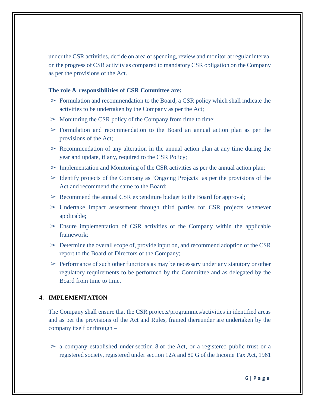under the CSR activities, decide on area of spending, review and monitor at regular interval on the progress of CSR activity as compared to mandatory CSR obligation on the Company as per the provisions of the Act.

#### **The role & responsibilities of CSR Committee are:**

- $\geq$  Formulation and recommendation to the Board, a CSR policy which shall indicate the activities to be undertaken by the Company as per the Act;
- $\geq$  Monitoring the CSR policy of the Company from time to time;
- $\geq$  Formulation and recommendation to the Board an annual action plan as per the provisions of the Act;
- $\geq$  Recommendation of any alteration in the annual action plan at any time during the year and update, if any, required to the CSR Policy;
- $\triangleright$  Implementation and Monitoring of the CSR activities as per the annual action plan;
- $\geq$  Identify projects of the Company as 'Ongoing Projects' as per the provisions of the Act and recommend the same to the Board;
- ➢ Recommend the annual CSR expenditure budget to the Board for approval;
- $>$  Undertake Impact assessment through third parties for CSR projects whenever applicable;
- $\geq$  Ensure implementation of CSR activities of the Company within the applicable framework;
- $\geq$  Determine the overall scope of, provide input on, and recommend adoption of the CSR report to the Board of Directors of the Company;
- $\geq$  Performance of such other functions as may be necessary under any statutory or other regulatory requirements to be performed by the Committee and as delegated by the Board from time to time.

### **4. IMPLEMENTATION**

The Company shall ensure that the CSR projects/programmes/activities in identified areas and as per the provisions of the Act and Rules, framed thereunder are undertaken by the company itself or through –

 $\geq$  a company established under [section](https://www.mca.gov.in/content/mca/global/en/acts-rules/ebooks/rules.html) 8 of the [Act,](https://www.mca.gov.in/content/mca/global/en/acts-rules/ebooks/rules.html) or a registered public trust or a registered society, registered under section 12A and 80 G of the Income Tax Act, 1961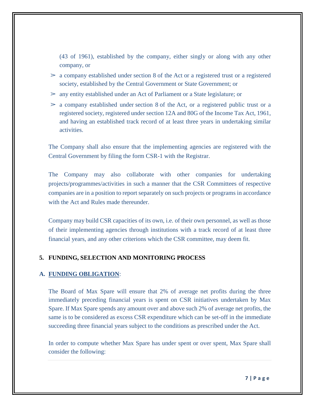(43 of 1961), established by the company, either singly or along with any other company, or

- $\geq$  a company established under [section](https://www.mca.gov.in/content/mca/global/en/acts-rules/ebooks/rules.html) 8 of the [Act](https://www.mca.gov.in/content/mca/global/en/acts-rules/ebooks/rules.html) or a registered trust or a registered society, established by the Central Government or State Government; or
- $\geq$  any entity established under an [Act](https://www.mca.gov.in/content/mca/global/en/acts-rules/ebooks/rules.html) of Parliament or a State legislature; or
- $\geq$  a company established under [section](https://www.mca.gov.in/content/mca/global/en/acts-rules/ebooks/rules.html) 8 of the [Act,](https://www.mca.gov.in/content/mca/global/en/acts-rules/ebooks/rules.html) or a registered public trust or a registered society, registered under section 12A and 80G of the Income Tax Act, 1961, and having an established track record of at least three years in undertaking similar activities.

The Company shall also ensure that the implementing agencies are registered with the Central Government by filing the form CSR-1 with the Registrar.

The Company may also collaborate with other companies for undertaking projects/programmes/activities in such a manner that the CSR Committees of respective companies are in a position to report separately on such projects or programs in accordance with the Act and Rules made thereunder.

Company may build CSR capacities of its own, i.e. of their own personnel, as well as those of their implementing agencies through institutions with a track record of at least three financial years, and any other criterions which the CSR committee, may deem fit.

# **5. FUNDING, SELECTION AND MONITORING PROCESS**

#### **A. FUNDING OBLIGATION**:

The Board of Max Spare will ensure that 2% of average net profits during the three immediately preceding financial years is spent on CSR initiatives undertaken by Max Spare. If Max Spare spends any amount over and above such 2% of average net profits, the same is to be considered as excess CSR expenditure which can be set-off in the immediate succeeding three financial years subject to the conditions as prescribed under the Act.

In order to compute whether Max Spare has under spent or over spent, Max Spare shall consider the following: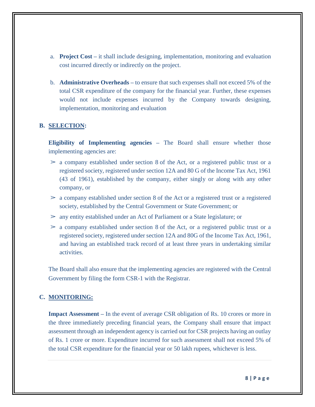- a. **Project Cost –** it shall include designing, implementation, monitoring and evaluation cost incurred directly or indirectly on the project.
- b. **Administrative Overheads –** to ensure that such expenses shall not exceed 5% of the total CSR expenditure of the company for the financial year. Further, these expenses would not include expenses incurred by the Company towards designing, implementation, monitoring and evaluation

# **B. SELECTION:**

**Eligibility of Implementing agencies –** The Board shall ensure whether those implementing agencies are:

- $\geq$  a company established under [section](https://www.mca.gov.in/content/mca/global/en/acts-rules/ebooks/rules.html) 8 of the [Act,](https://www.mca.gov.in/content/mca/global/en/acts-rules/ebooks/rules.html) or a registered public trust or a registered society, registered under section 12A and 80 G of the Income Tax Act, 1961 (43 of 1961), established by the company, either singly or along with any other company, or
- $\geq$  a company established under [section](https://www.mca.gov.in/content/mca/global/en/acts-rules/ebooks/rules.html) 8 of the [Act](https://www.mca.gov.in/content/mca/global/en/acts-rules/ebooks/rules.html) or a registered trust or a registered society, established by the Central Government or State Government; or
- $\geq$  any entity established under an [Act](https://www.mca.gov.in/content/mca/global/en/acts-rules/ebooks/rules.html) of Parliament or a State legislature; or
- $\geq$  a company established under [section](https://www.mca.gov.in/content/mca/global/en/acts-rules/ebooks/rules.html) 8 of the [Act,](https://www.mca.gov.in/content/mca/global/en/acts-rules/ebooks/rules.html) or a registered public trust or a registered society, registered under section 12A and 80G of the Income Tax Act, 1961, and having an established track record of at least three years in undertaking similar activities.

The Board shall also ensure that the implementing agencies are registered with the Central Government by filing the form CSR-1 with the Registrar.

# **C. MONITORING:**

**Impact Assessment –** In the event of average CSR obligation of Rs. 10 crores or more in the three immediately preceding financial years, the Company shall ensure that impact assessment through an independent agency is carried out for CSR projects having an outlay of Rs. 1 crore or more. Expenditure incurred for such assessment shall not exceed 5% of the total CSR expenditure for the financial year or 50 lakh rupees, whichever is less.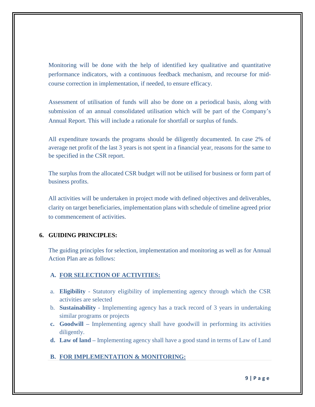Monitoring will be done with the help of identified key qualitative and quantitative performance indicators, with a continuous feedback mechanism, and recourse for midcourse correction in implementation, if needed, to ensure efficacy.

Assessment of utilisation of funds will also be done on a periodical basis, along with submission of an annual consolidated utilisation which will be part of the Company's Annual Report. This will include a rationale for shortfall or surplus of funds.

All expenditure towards the programs should be diligently documented. In case 2% of average net profit of the last 3 years is not spent in a financial year, reasons for the same to be specified in the CSR report.

The surplus from the allocated CSR budget will not be utilised for business or form part of business profits.

All activities will be undertaken in project mode with defined objectives and deliverables, clarity on target beneficiaries, implementation plans with schedule of timeline agreed prior to commencement of activities.

#### **6. GUIDING PRINCIPLES:**

The guiding principles for selection, implementation and monitoring as well as for Annual Action Plan are as follows:

#### **A. FOR SELECTION OF ACTIVITIES:**

- a. **Eligibility** Statutory eligibility of implementing agency through which the CSR activities are selected
- b. **Sustainability** Implementing agency has a track record of 3 years in undertaking similar programs or projects
- **c. Goodwill –** Implementing agency shall have goodwill in performing its activities diligently.
- **d. Law of land –** Implementing agency shall have a good stand in terms of Law of Land

#### **B. FOR IMPLEMENTATION & MONITORING:**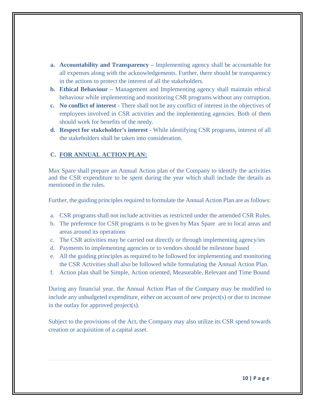- **a. Accountability and Transparency –** Implementing agency shall be accountable for all expenses along with the acknowledgements. Further, there should be transparency in the actions to protect the interest of all the stakeholders.
- **b. Ethical Behaviour –** Management and Implementing agency shall maintain ethical behaviour while implementing and monitoring CSR programs without any corruption.
- **c. No conflict of interest -** There shall not be any conflict of interest in the objectives of employees involved in CSR activities and the implementing agencies. Both of them should work for benefits of the needy.
- **d. Respect for stakeholder's interest -** While identifying CSR programs, interest of all the stakeholders shall be taken into consideration.

# **C. FOR ANNUAL ACTION PLAN:**

Max Spare shall prepare an Annual Action plan of the Company to identify the activities and the CSR expenditure to be spent during the year which shall include the details as mentioned in the rules.

Further, the guiding principles required to formulate the Annual Action Plan are as follows:

- a. CSR programs shall not include activities as restricted under the amended CSR Rules.
- b. The preference for CSR programs is to be given by Max Spare are to local areas and areas around its operations
- c. The CSR activities may be carried out directly or through implementing agency/ies
- d. Payments to implementing agencies or to vendors should be milestone based
- e. All the guiding principles as required to be followed for implementing and monitoring the CSR Activities shall also be followed while formulating the Annual Action Plan.
- f. Action plan shall be Simple, Action oriented, Measurable, Relevant and Time Bound

During any financial year, the Annual Action Plan of the Company may be modified to include any unbudgeted expenditure, either on account of new project(s) or due to increase in the outlay for approved project(s).

Subject to the provisions of the Act, the Company may also utilize its CSR spend towards creation or acquisition of a capital asset.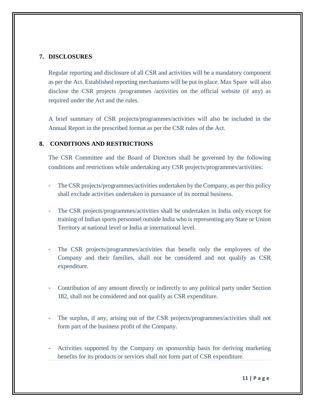# **7. DISCLOSURES**

Regular reporting and disclosure of all CSR and activities will be a mandatory component as per the Act. Established reporting mechanisms will be put in place. Max Spare will also disclose the CSR projects /programmes /activities on the official website (if any) as required under the Act and the rules.

A brief summary of CSR projects/programmes/activities will also be included in the Annual Report in the prescribed format as per the CSR rules of the Act.

# **8. CONDITIONS AND RESTRICTIONS**

The CSR Committee and the Board of Directors shall be governed by the following conditions and restrictions while undertaking any CSR projects/programmes/activities:

- The CSR projects/programmes/activities undertaken by the Company, as per this policy shall exclude activities undertaken in pursuance of its normal business.
- The CSR projects/programmes/activities shall be undertaken in India only except for training of Indian sports personnel outside India who is representing any State or Union Territory at national level or India at international level.
- The CSR projects/programmes/activities that benefit only the employees of the Company and their families, shall not be considered and not qualify as CSR expenditure.
- Contribution of any amount directly or indirectly to any political party under Section 182, shall not be considered and not qualify as CSR expenditure.
- The surplus, if any, arising out of the CSR projects/programmes/activities shall not form part of the business profit of the Company.
- Activities supported by the Company on sponsorship basis for deriving marketing benefits for its products or services shall not form part of CSR expenditure.

**11 | P a g e**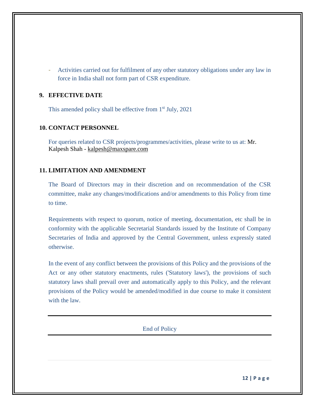- Activities carried out for fulfilment of any other statutory obligations under any law in force in India shall not form part of CSR expenditure.

# **9. EFFECTIVE DATE**

This amended policy shall be effective from 1<sup>st</sup> July, 2021

# **10. CONTACT PERSONNEL**

For queries related to CSR projects/programmes/activities, please write to us at: Mr. Kalpesh Shah - [kalpesh@maxspare.com](mailto:kalpesh@maxspare.com)

# **11. LIMITATION AND AMENDMENT**

The Board of Directors may in their discretion and on recommendation of the CSR committee, make any changes/modifications and/or amendments to this Policy from time to time.

Requirements with respect to quorum, notice of meeting, documentation, etc shall be in conformity with the applicable Secretarial Standards issued by the Institute of Company Secretaries of India and approved by the Central Government, unless expressly stated otherwise.

In the event of any conflict between the provisions of this Policy and the provisions of the Act or any other statutory enactments, rules ('Statutory laws'), the provisions of such statutory laws shall prevail over and automatically apply to this Policy, and the relevant provisions of the Policy would be amended/modified in due course to make it consistent with the law.

End of Policy

**12 | P a g e**